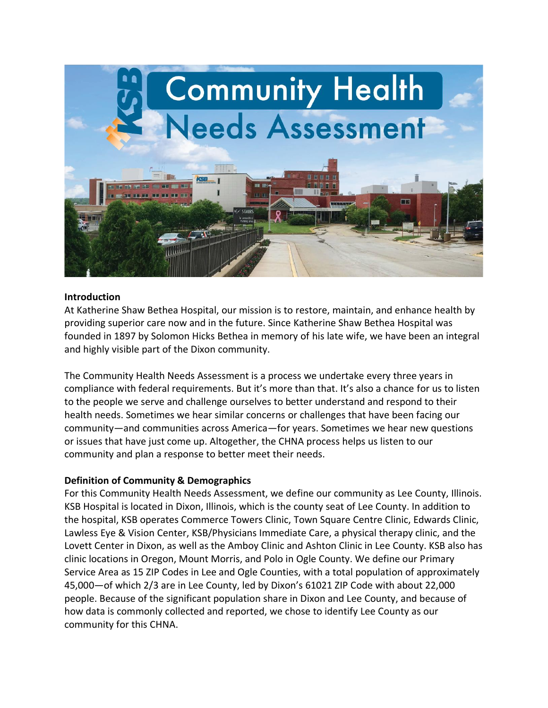

#### **Introduction**

At Katherine Shaw Bethea Hospital, our mission is to restore, maintain, and enhance health by providing superior care now and in the future. Since Katherine Shaw Bethea Hospital was founded in 1897 by Solomon Hicks Bethea in memory of his late wife, we have been an integral and highly visible part of the Dixon community.

The Community Health Needs Assessment is a process we undertake every three years in compliance with federal requirements. But it's more than that. It's also a chance for us to listen to the people we serve and challenge ourselves to better understand and respond to their health needs. Sometimes we hear similar concerns or challenges that have been facing our community—and communities across America—for years. Sometimes we hear new questions or issues that have just come up. Altogether, the CHNA process helps us listen to our community and plan a response to better meet their needs.

### **Definition of Community & Demographics**

For this Community Health Needs Assessment, we define our community as Lee County, Illinois. KSB Hospital is located in Dixon, Illinois, which is the county seat of Lee County. In addition to the hospital, KSB operates Commerce Towers Clinic, Town Square Centre Clinic, Edwards Clinic, Lawless Eye & Vision Center, KSB/Physicians Immediate Care, a physical therapy clinic, and the Lovett Center in Dixon, as well as the Amboy Clinic and Ashton Clinic in Lee County. KSB also has clinic locations in Oregon, Mount Morris, and Polo in Ogle County. We define our Primary Service Area as 15 ZIP Codes in Lee and Ogle Counties, with a total population of approximately 45,000—of which 2/3 are in Lee County, led by Dixon's 61021 ZIP Code with about 22,000 people. Because of the significant population share in Dixon and Lee County, and because of how data is commonly collected and reported, we chose to identify Lee County as our community for this CHNA.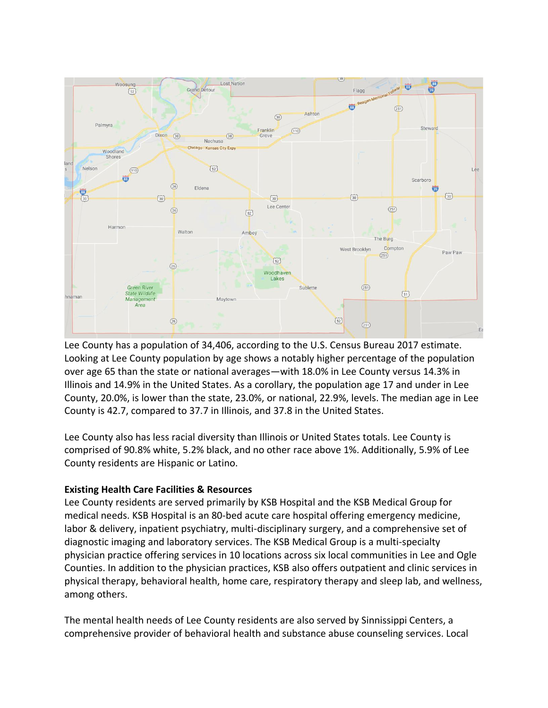

Lee County has a population of 34,406, according to the U.S. Census Bureau 2017 estimate. Looking at Lee County population by age shows a notably higher percentage of the population over age 65 than the state or national averages—with 18.0% in Lee County versus 14.3% in Illinois and 14.9% in the United States. As a corollary, the population age 17 and under in Lee County, 20.0%, is lower than the state, 23.0%, or national, 22.9%, levels. The median age in Lee County is 42.7, compared to 37.7 in Illinois, and 37.8 in the United States.

Lee County also has less racial diversity than Illinois or United States totals. Lee County is comprised of 90.8% white, 5.2% black, and no other race above 1%. Additionally, 5.9% of Lee County residents are Hispanic or Latino.

# **Existing Health Care Facilities & Resources**

Lee County residents are served primarily by KSB Hospital and the KSB Medical Group for medical needs. KSB Hospital is an 80-bed acute care hospital offering emergency medicine, labor & delivery, inpatient psychiatry, multi-disciplinary surgery, and a comprehensive set of diagnostic imaging and laboratory services. The KSB Medical Group is a multi-specialty physician practice offering services in 10 locations across six local communities in Lee and Ogle Counties. In addition to the physician practices, KSB also offers outpatient and clinic services in physical therapy, behavioral health, home care, respiratory therapy and sleep lab, and wellness, among others.

The mental health needs of Lee County residents are also served by Sinnissippi Centers, a comprehensive provider of behavioral health and substance abuse counseling services. Local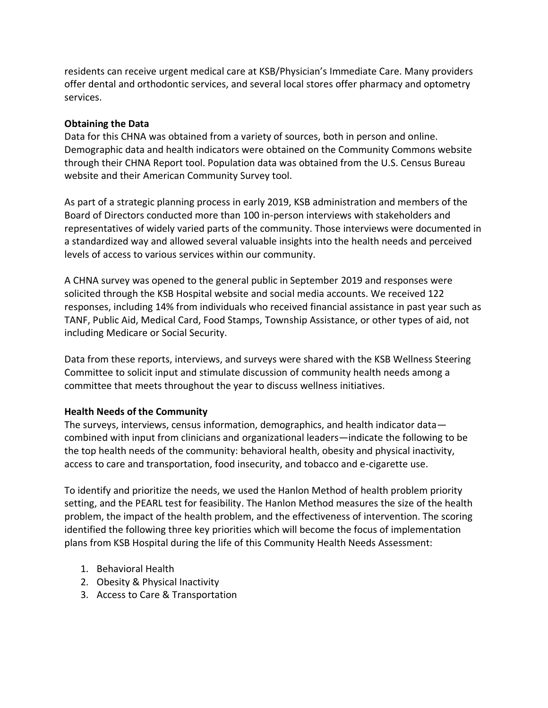residents can receive urgent medical care at KSB/Physician's Immediate Care. Many providers offer dental and orthodontic services, and several local stores offer pharmacy and optometry services.

## **Obtaining the Data**

Data for this CHNA was obtained from a variety of sources, both in person and online. Demographic data and health indicators were obtained on the Community Commons website through their CHNA Report tool. Population data was obtained from the U.S. Census Bureau website and their American Community Survey tool.

As part of a strategic planning process in early 2019, KSB administration and members of the Board of Directors conducted more than 100 in-person interviews with stakeholders and representatives of widely varied parts of the community. Those interviews were documented in a standardized way and allowed several valuable insights into the health needs and perceived levels of access to various services within our community.

A CHNA survey was opened to the general public in September 2019 and responses were solicited through the KSB Hospital website and social media accounts. We received 122 responses, including 14% from individuals who received financial assistance in past year such as TANF, Public Aid, Medical Card, Food Stamps, Township Assistance, or other types of aid, not including Medicare or Social Security.

Data from these reports, interviews, and surveys were shared with the KSB Wellness Steering Committee to solicit input and stimulate discussion of community health needs among a committee that meets throughout the year to discuss wellness initiatives.

### **Health Needs of the Community**

The surveys, interviews, census information, demographics, and health indicator data combined with input from clinicians and organizational leaders—indicate the following to be the top health needs of the community: behavioral health, obesity and physical inactivity, access to care and transportation, food insecurity, and tobacco and e-cigarette use.

To identify and prioritize the needs, we used the Hanlon Method of health problem priority setting, and the PEARL test for feasibility. The Hanlon Method measures the size of the health problem, the impact of the health problem, and the effectiveness of intervention. The scoring identified the following three key priorities which will become the focus of implementation plans from KSB Hospital during the life of this Community Health Needs Assessment:

- 1. Behavioral Health
- 2. Obesity & Physical Inactivity
- 3. Access to Care & Transportation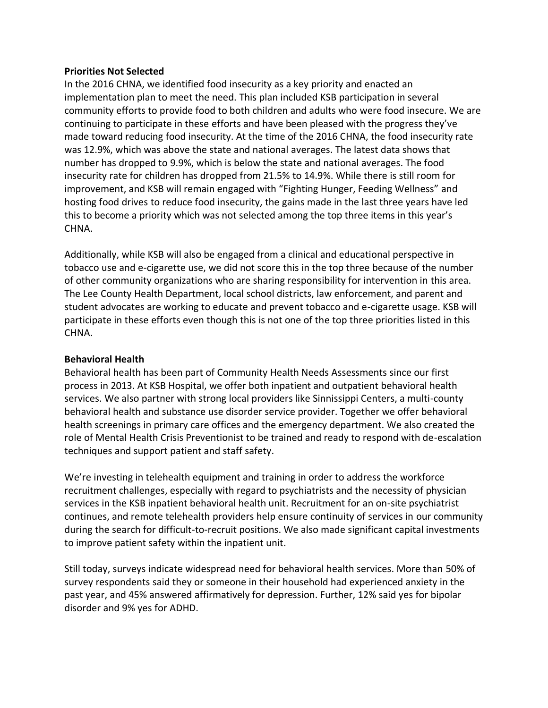#### **Priorities Not Selected**

In the 2016 CHNA, we identified food insecurity as a key priority and enacted an implementation plan to meet the need. This plan included KSB participation in several community efforts to provide food to both children and adults who were food insecure. We are continuing to participate in these efforts and have been pleased with the progress they've made toward reducing food insecurity. At the time of the 2016 CHNA, the food insecurity rate was 12.9%, which was above the state and national averages. The latest data shows that number has dropped to 9.9%, which is below the state and national averages. The food insecurity rate for children has dropped from 21.5% to 14.9%. While there is still room for improvement, and KSB will remain engaged with "Fighting Hunger, Feeding Wellness" and hosting food drives to reduce food insecurity, the gains made in the last three years have led this to become a priority which was not selected among the top three items in this year's CHNA.

Additionally, while KSB will also be engaged from a clinical and educational perspective in tobacco use and e-cigarette use, we did not score this in the top three because of the number of other community organizations who are sharing responsibility for intervention in this area. The Lee County Health Department, local school districts, law enforcement, and parent and student advocates are working to educate and prevent tobacco and e-cigarette usage. KSB will participate in these efforts even though this is not one of the top three priorities listed in this CHNA.

### **Behavioral Health**

Behavioral health has been part of Community Health Needs Assessments since our first process in 2013. At KSB Hospital, we offer both inpatient and outpatient behavioral health services. We also partner with strong local providers like Sinnissippi Centers, a multi-county behavioral health and substance use disorder service provider. Together we offer behavioral health screenings in primary care offices and the emergency department. We also created the role of Mental Health Crisis Preventionist to be trained and ready to respond with de-escalation techniques and support patient and staff safety.

We're investing in telehealth equipment and training in order to address the workforce recruitment challenges, especially with regard to psychiatrists and the necessity of physician services in the KSB inpatient behavioral health unit. Recruitment for an on-site psychiatrist continues, and remote telehealth providers help ensure continuity of services in our community during the search for difficult-to-recruit positions. We also made significant capital investments to improve patient safety within the inpatient unit.

Still today, surveys indicate widespread need for behavioral health services. More than 50% of survey respondents said they or someone in their household had experienced anxiety in the past year, and 45% answered affirmatively for depression. Further, 12% said yes for bipolar disorder and 9% yes for ADHD.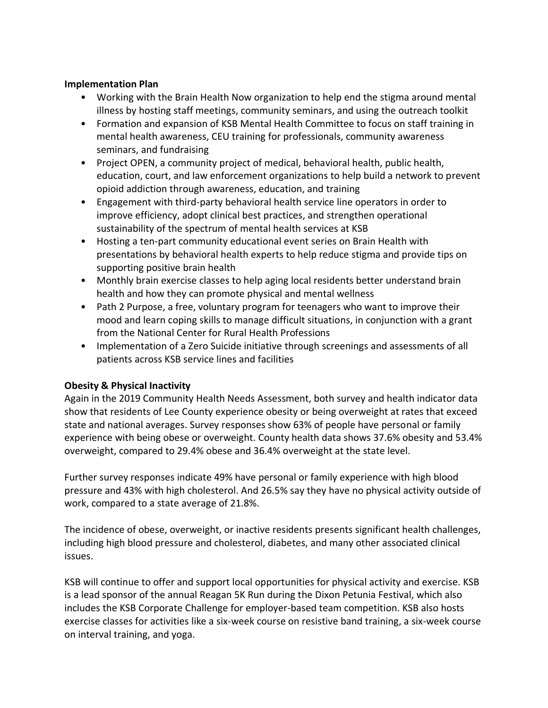## **Implementation Plan**

- Working with the Brain Health Now organization to help end the stigma around mental illness by hosting staff meetings, community seminars, and using the outreach toolkit
- Formation and expansion of KSB Mental Health Committee to focus on staff training in mental health awareness, CEU training for professionals, community awareness seminars, and fundraising
- Project OPEN, a community project of medical, behavioral health, public health, education, court, and law enforcement organizations to help build a network to prevent opioid addiction through awareness, education, and training
- Engagement with third-party behavioral health service line operators in order to improve efficiency, adopt clinical best practices, and strengthen operational sustainability of the spectrum of mental health services at KSB
- Hosting a ten-part community educational event series on Brain Health with presentations by behavioral health experts to help reduce stigma and provide tips on supporting positive brain health
- Monthly brain exercise classes to help aging local residents better understand brain health and how they can promote physical and mental wellness
- Path 2 Purpose, a free, voluntary program for teenagers who want to improve their mood and learn coping skills to manage difficult situations, in conjunction with a grant from the National Center for Rural Health Professions
- Implementation of a Zero Suicide initiative through screenings and assessments of all patients across KSB service lines and facilities

# **Obesity & Physical Inactivity**

Again in the 2019 Community Health Needs Assessment, both survey and health indicator data show that residents of Lee County experience obesity or being overweight at rates that exceed state and national averages. Survey responses show 63% of people have personal or family experience with being obese or overweight. County health data shows 37.6% obesity and 53.4% overweight, compared to 29.4% obese and 36.4% overweight at the state level.

Further survey responses indicate 49% have personal or family experience with high blood pressure and 43% with high cholesterol. And 26.5% say they have no physical activity outside of work, compared to a state average of 21.8%.

The incidence of obese, overweight, or inactive residents presents significant health challenges, including high blood pressure and cholesterol, diabetes, and many other associated clinical issues.

KSB will continue to offer and support local opportunities for physical activity and exercise. KSB is a lead sponsor of the annual Reagan 5K Run during the Dixon Petunia Festival, which also includes the KSB Corporate Challenge for employer-based team competition. KSB also hosts exercise classes for activities like a six-week course on resistive band training, a six-week course on interval training, and yoga.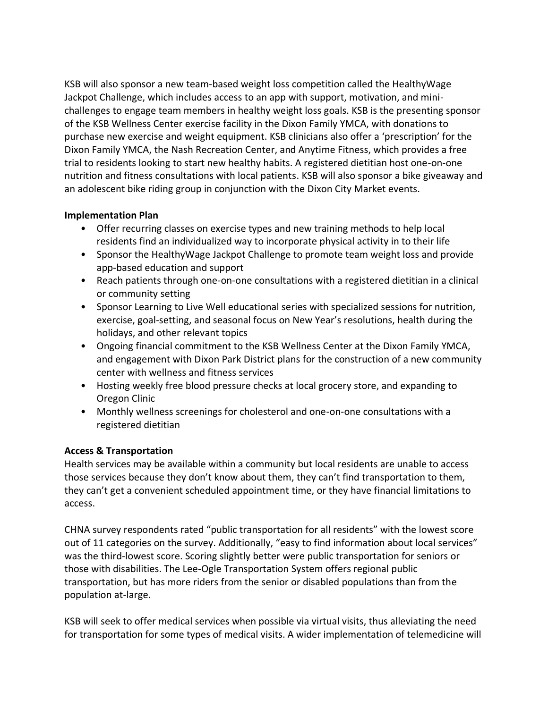KSB will also sponsor a new team-based weight loss competition called the HealthyWage Jackpot Challenge, which includes access to an app with support, motivation, and minichallenges to engage team members in healthy weight loss goals. KSB is the presenting sponsor of the KSB Wellness Center exercise facility in the Dixon Family YMCA, with donations to purchase new exercise and weight equipment. KSB clinicians also offer a 'prescription' for the Dixon Family YMCA, the Nash Recreation Center, and Anytime Fitness, which provides a free trial to residents looking to start new healthy habits. A registered dietitian host one-on-one nutrition and fitness consultations with local patients. KSB will also sponsor a bike giveaway and an adolescent bike riding group in conjunction with the Dixon City Market events.

# **Implementation Plan**

- Offer recurring classes on exercise types and new training methods to help local residents find an individualized way to incorporate physical activity in to their life
- Sponsor the HealthyWage Jackpot Challenge to promote team weight loss and provide app-based education and support
- Reach patients through one-on-one consultations with a registered dietitian in a clinical or community setting
- Sponsor Learning to Live Well educational series with specialized sessions for nutrition, exercise, goal-setting, and seasonal focus on New Year's resolutions, health during the holidays, and other relevant topics
- Ongoing financial commitment to the KSB Wellness Center at the Dixon Family YMCA, and engagement with Dixon Park District plans for the construction of a new community center with wellness and fitness services
- Hosting weekly free blood pressure checks at local grocery store, and expanding to Oregon Clinic
- Monthly wellness screenings for cholesterol and one-on-one consultations with a registered dietitian

# **Access & Transportation**

Health services may be available within a community but local residents are unable to access those services because they don't know about them, they can't find transportation to them, they can't get a convenient scheduled appointment time, or they have financial limitations to access.

CHNA survey respondents rated "public transportation for all residents" with the lowest score out of 11 categories on the survey. Additionally, "easy to find information about local services" was the third-lowest score. Scoring slightly better were public transportation for seniors or those with disabilities. The Lee-Ogle Transportation System offers regional public transportation, but has more riders from the senior or disabled populations than from the population at-large.

KSB will seek to offer medical services when possible via virtual visits, thus alleviating the need for transportation for some types of medical visits. A wider implementation of telemedicine will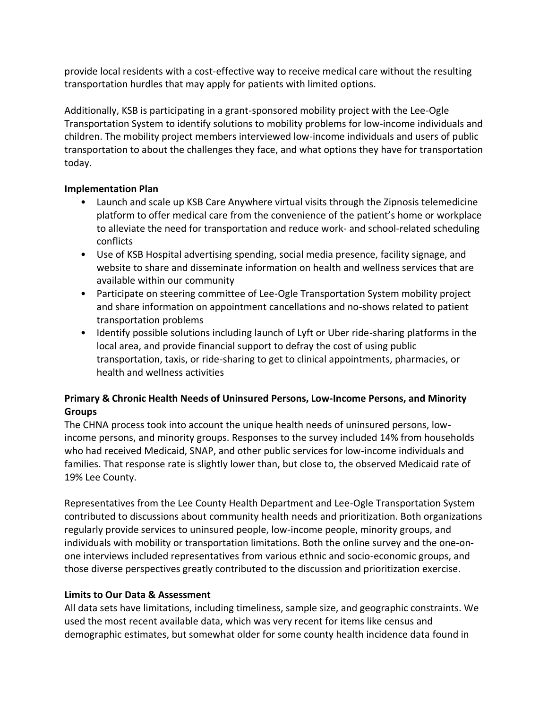provide local residents with a cost-effective way to receive medical care without the resulting transportation hurdles that may apply for patients with limited options.

Additionally, KSB is participating in a grant-sponsored mobility project with the Lee-Ogle Transportation System to identify solutions to mobility problems for low-income individuals and children. The mobility project members interviewed low-income individuals and users of public transportation to about the challenges they face, and what options they have for transportation today.

# **Implementation Plan**

- Launch and scale up KSB Care Anywhere virtual visits through the Zipnosis telemedicine platform to offer medical care from the convenience of the patient's home or workplace to alleviate the need for transportation and reduce work- and school-related scheduling conflicts
- Use of KSB Hospital advertising spending, social media presence, facility signage, and website to share and disseminate information on health and wellness services that are available within our community
- Participate on steering committee of Lee-Ogle Transportation System mobility project and share information on appointment cancellations and no-shows related to patient transportation problems
- Identify possible solutions including launch of Lyft or Uber ride-sharing platforms in the local area, and provide financial support to defray the cost of using public transportation, taxis, or ride-sharing to get to clinical appointments, pharmacies, or health and wellness activities

# **Primary & Chronic Health Needs of Uninsured Persons, Low-Income Persons, and Minority Groups**

The CHNA process took into account the unique health needs of uninsured persons, lowincome persons, and minority groups. Responses to the survey included 14% from households who had received Medicaid, SNAP, and other public services for low-income individuals and families. That response rate is slightly lower than, but close to, the observed Medicaid rate of 19% Lee County.

Representatives from the Lee County Health Department and Lee-Ogle Transportation System contributed to discussions about community health needs and prioritization. Both organizations regularly provide services to uninsured people, low-income people, minority groups, and individuals with mobility or transportation limitations. Both the online survey and the one-onone interviews included representatives from various ethnic and socio-economic groups, and those diverse perspectives greatly contributed to the discussion and prioritization exercise.

# **Limits to Our Data & Assessment**

All data sets have limitations, including timeliness, sample size, and geographic constraints. We used the most recent available data, which was very recent for items like census and demographic estimates, but somewhat older for some county health incidence data found in